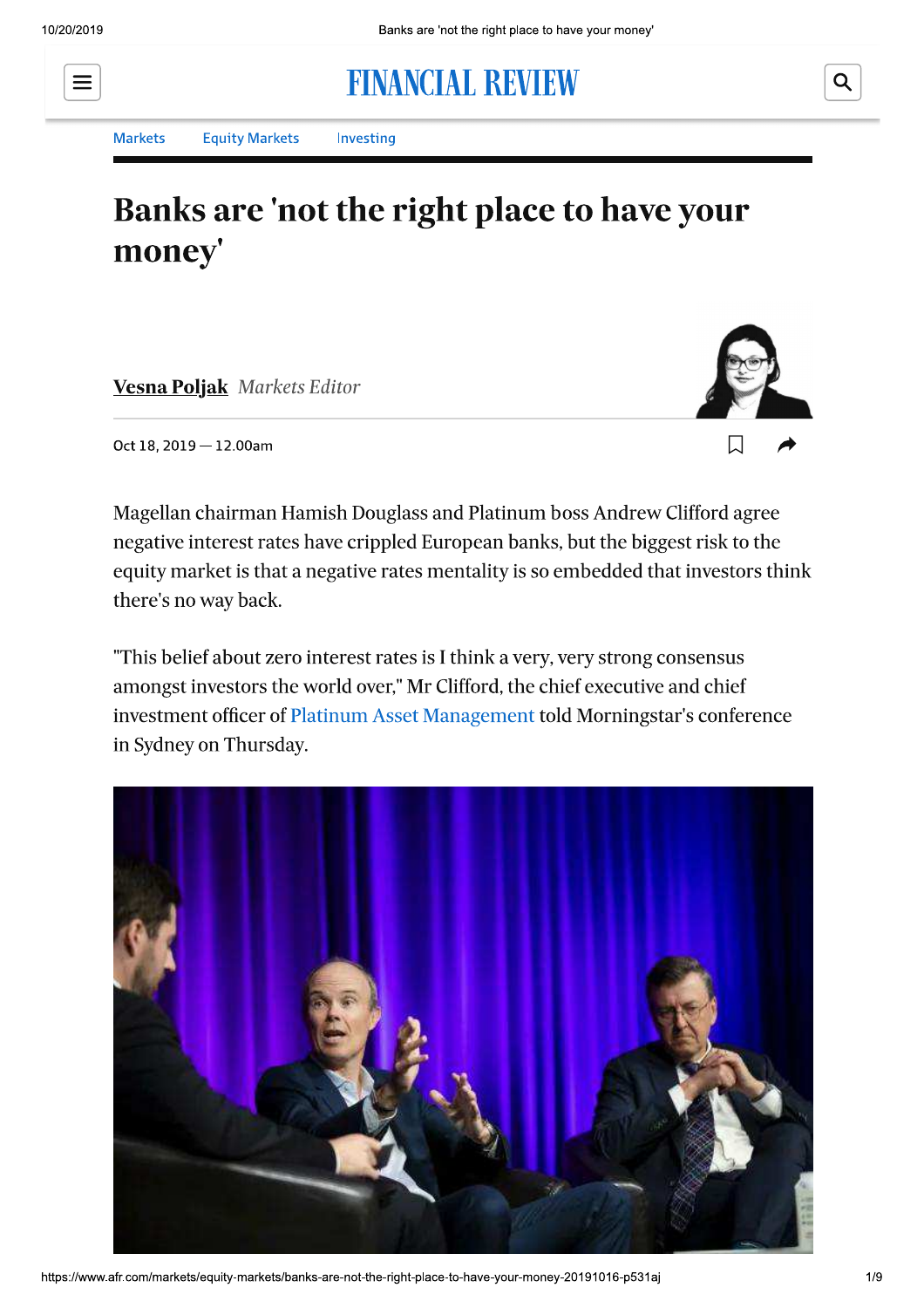# $\equiv$

**Markets** 

**Equity Markets** Investing

## Banks are 'not the right place to have your money'

**FINANCIAL REVIEW** 

**Vesna Poljak Markets Editor** 



Oct 18, 2019 - 12.00am

Magellan chairman Hamish Douglass and Platinum boss Andrew Clifford agree negative interest rates have crippled European banks, but the biggest risk to the equity market is that a negative rates mentality is so embedded that investors think there's no way back.

"This belief about zero interest rates is I think a very, very strong consensus amongst investors the world over," Mr Clifford, the chief executive and chief investment officer of Platinum Asset Management told Morningstar's conference in Sydney on Thursday.



https://www.afr.com/markets/equity-markets/banks-are-not-the-right-place-to-have-your-money-20191016-p531aj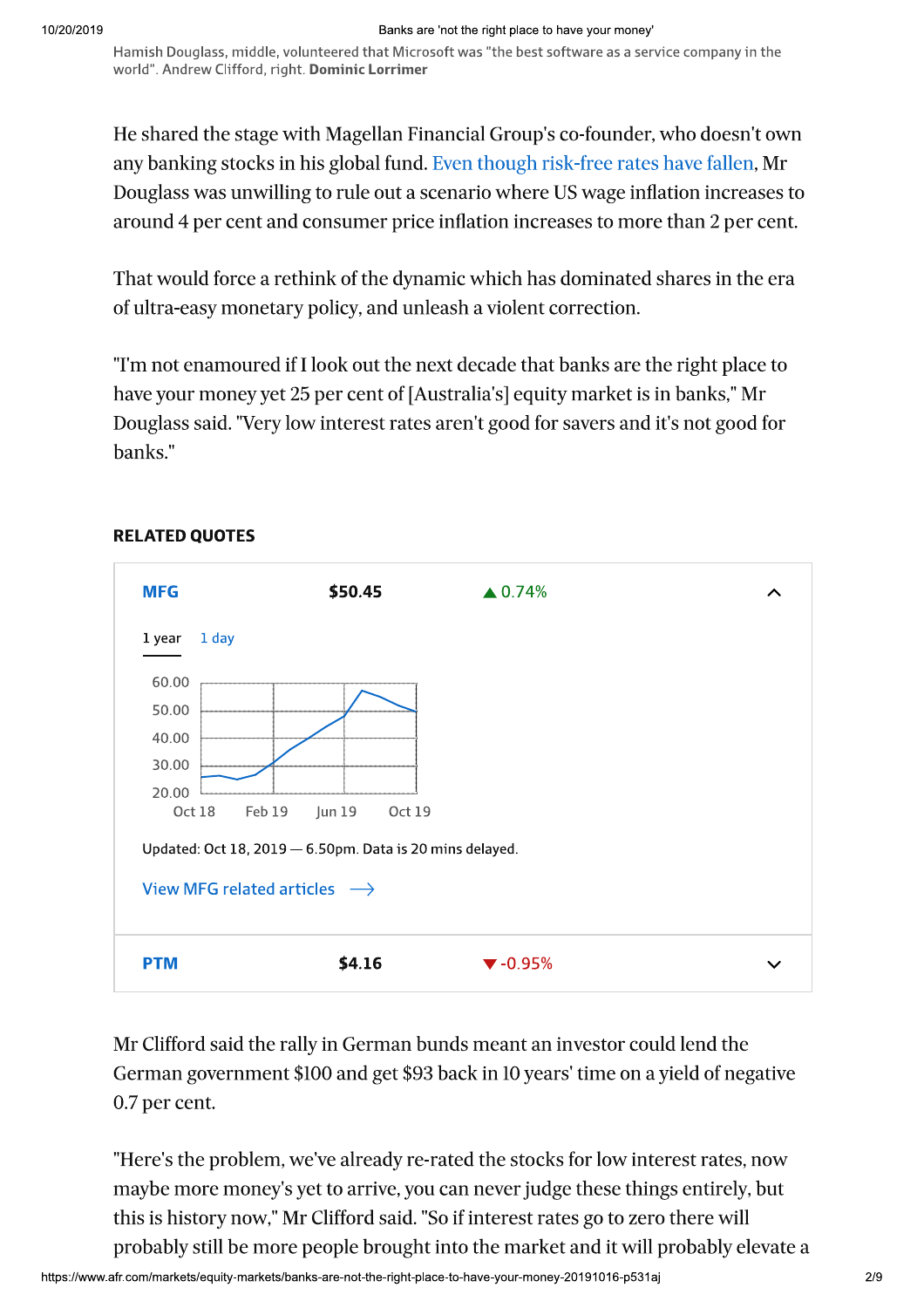Hamish Douglass, middle, volunteered that Microsoft was "the best software as a service company in the world". Andrew Clifford, right. Dominic Lorrimer

He shared the stage with Magellan Financial Group's co-founder, who doesn't own any banking stocks in his global fund. Even though risk-free rates have fallen, Mr Douglass was unwilling to rule out a scenario where US wage inflation increases to around 4 per cent and consumer price inflation increases to more than 2 per cent.

That would force a rethink of the dynamic which has dominated shares in the era of ultra-easy monetary policy, and unleash a violent correction.

"I'm not enamoured if I look out the next decade that banks are the right place to have your money yet 25 per cent of [Australia's] equity market is in banks," Mr Douglass said. "Very low interest rates aren't good for savers and it's not good for banks."



#### **RELATED QUOTES**

Mr Clifford said the rally in German bunds meant an investor could lend the German government \$100 and get \$93 back in 10 years' time on a yield of negative 0.7 per cent.

"Here's the problem, we've already re-rated the stocks for low interest rates, now maybe more money's yet to arrive, you can never judge these things entirely, but this is history now," Mr Clifford said. "So if interest rates go to zero there will probably still be more people brought into the market and it will probably elevate a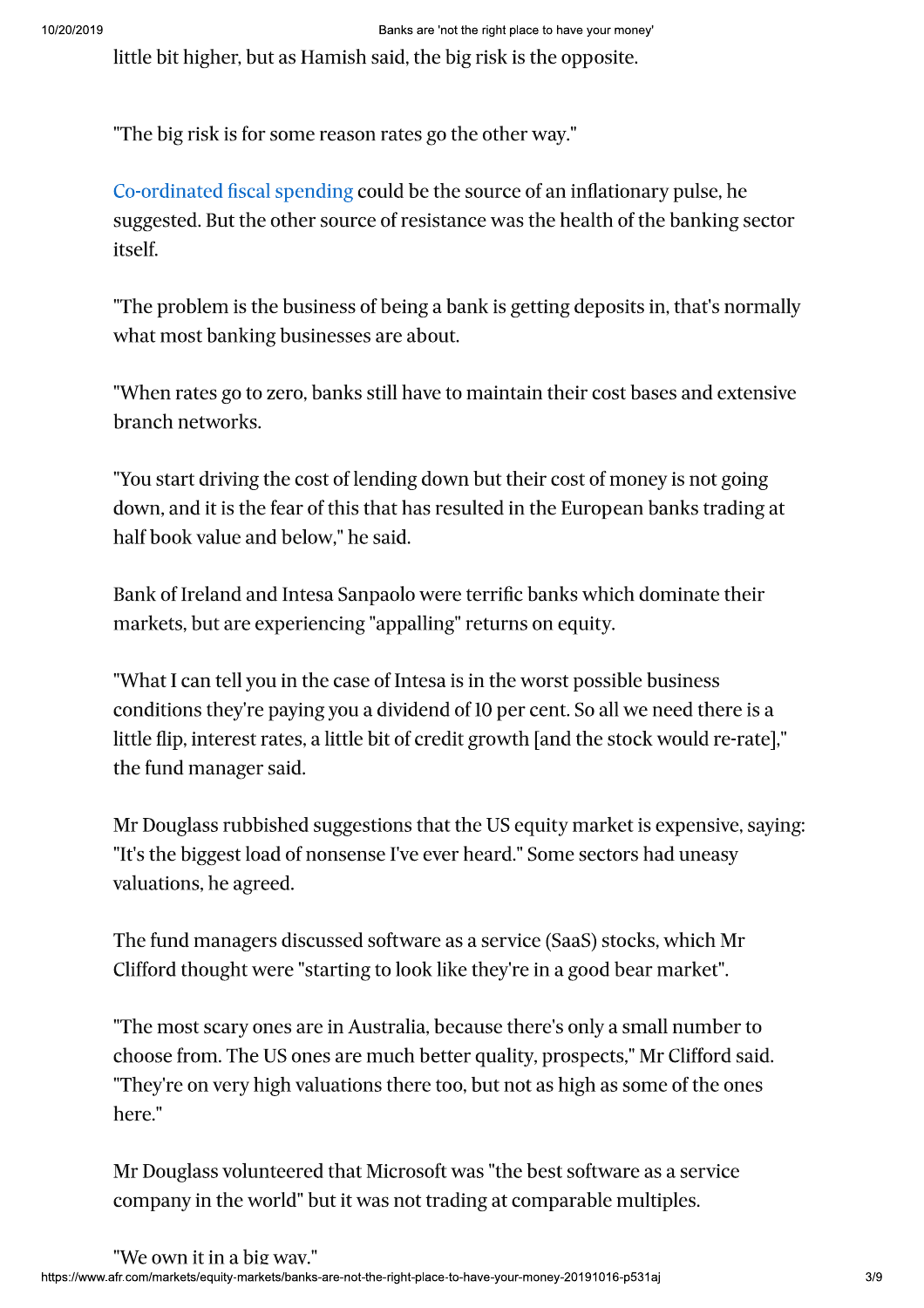serves to the highest but as Hamida and the big risk in the symptom.<br>
The big risk is let a standard and the big risk is the opposite.<br>
The big risk is let a speed to the source of the source of an inflationary pulse, be<br>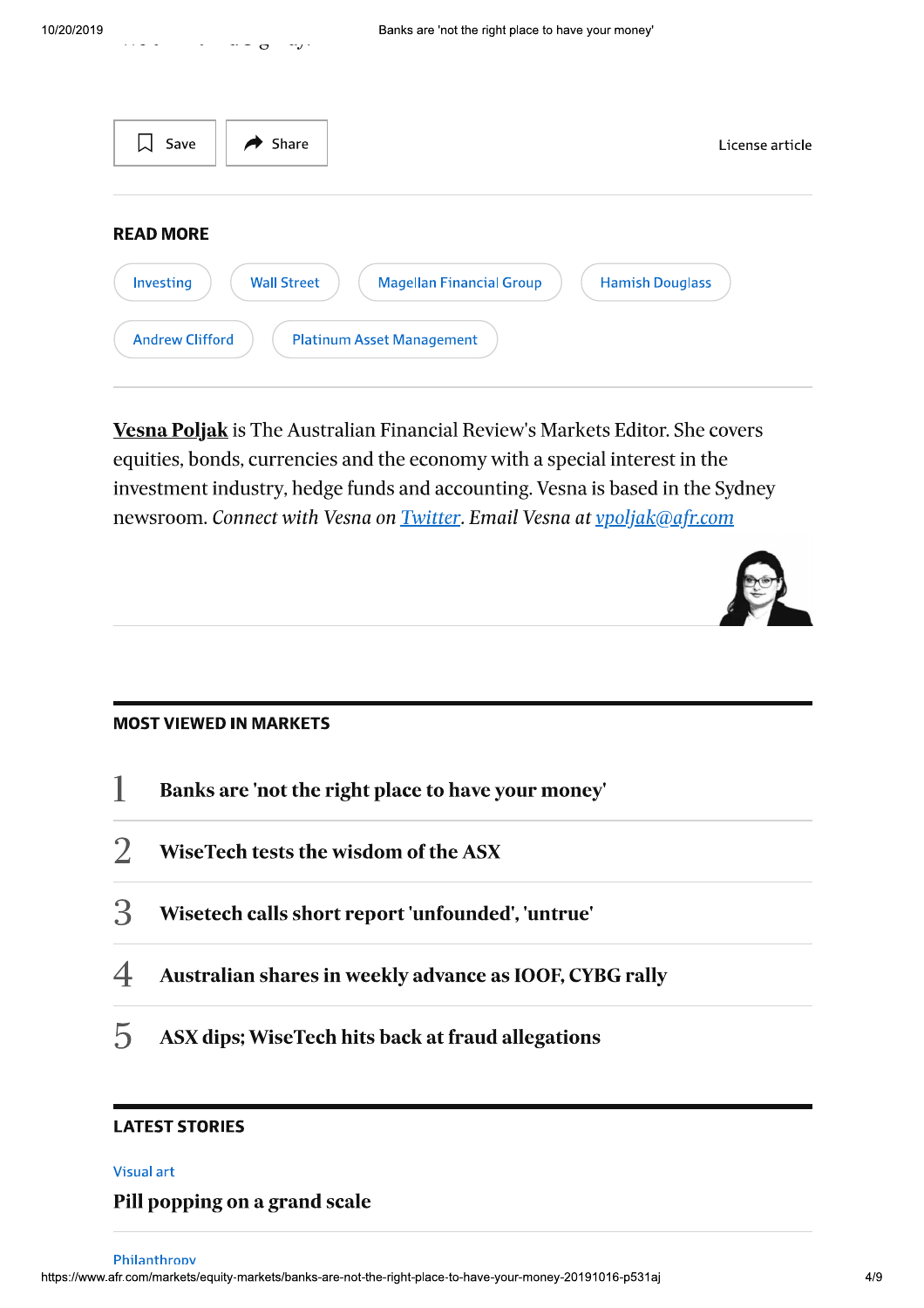| Share<br>Save<br>$\blacktriangleright$                                                                           | License article |
|------------------------------------------------------------------------------------------------------------------|-----------------|
| <b>READ MORE</b><br>Investing<br><b>Wall Street</b><br><b>Magellan Financial Group</b><br><b>Hamish Douglass</b> |                 |
| <b>Andrew Clifford</b><br><b>Platinum Asset Management</b>                                                       |                 |

**Vesna Poljak** is The Australian Financial Review's Markets Editor. She covers equities, bonds, currencies and the economy with a special interest in the investment industry, hedge funds and accounting. Vesna is based in the Sydney newsroom. Connect with Vesna on Twitter. Email Vesna at vpoljak@afr.com



#### **MOST VIEWED IN MARKETS**

- $\mathbf{1}$ Banks are 'not the right place to have your money'
- $\overline{2}$ WiseTech tests the wisdom of the ASX
- 3 Wisetech calls short report 'unfounded', 'untrue'
- $\overline{4}$ Australian shares in weekly advance as IOOF, CYBG rally
- 5 ASX dips; WiseTech hits back at fraud allegations

#### **LATEST STORIES**

#### **Visual art**

#### Pill popping on a grand scale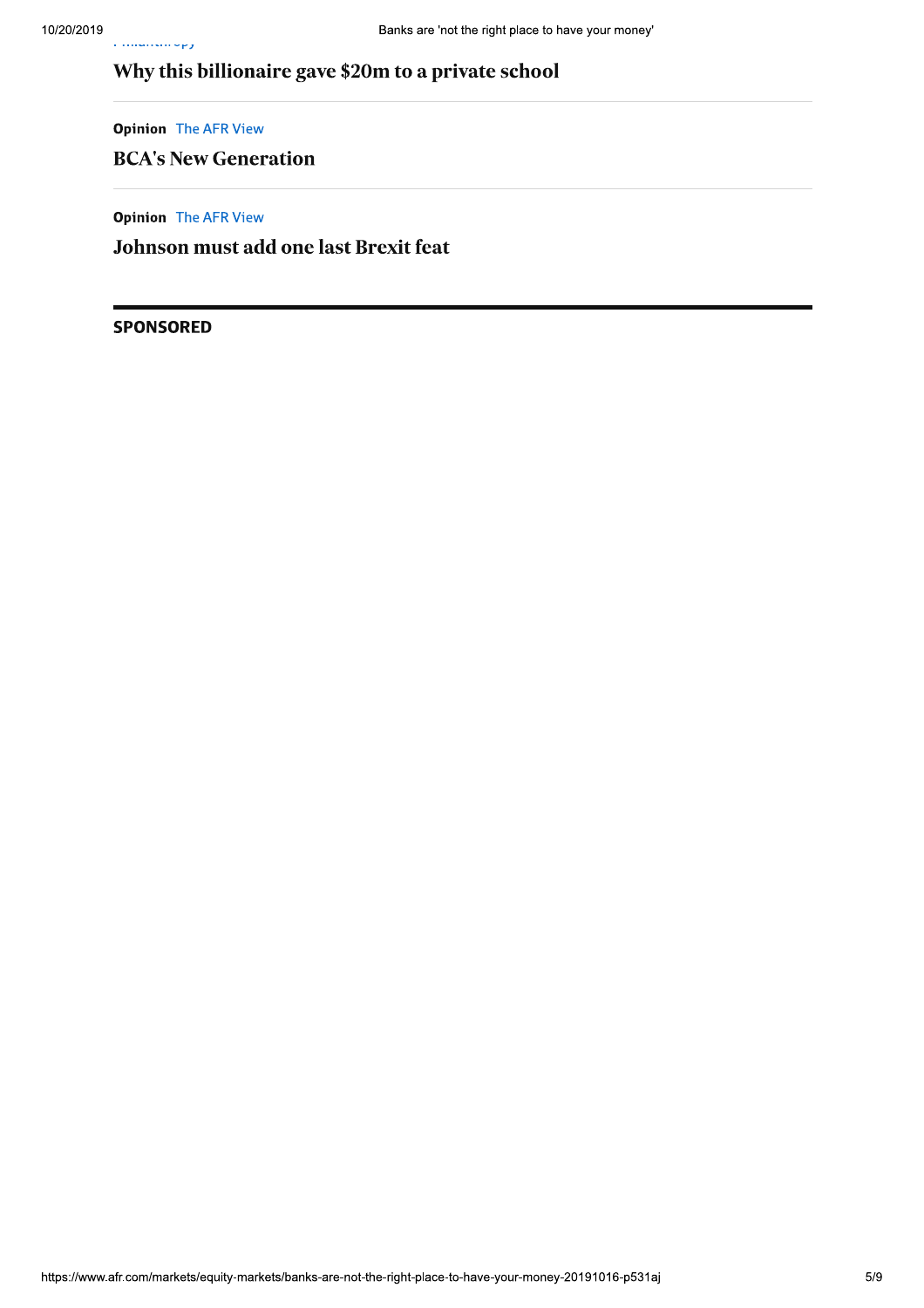### Why this billionaire gave \$20m to a private school

**Opinion** The AFR View

ریزی میں مستحدہ ک

#### **BCA's New Generation**

**Opinion** The AFR View

Johnson must add one last Brexit feat

#### **SPONSORED**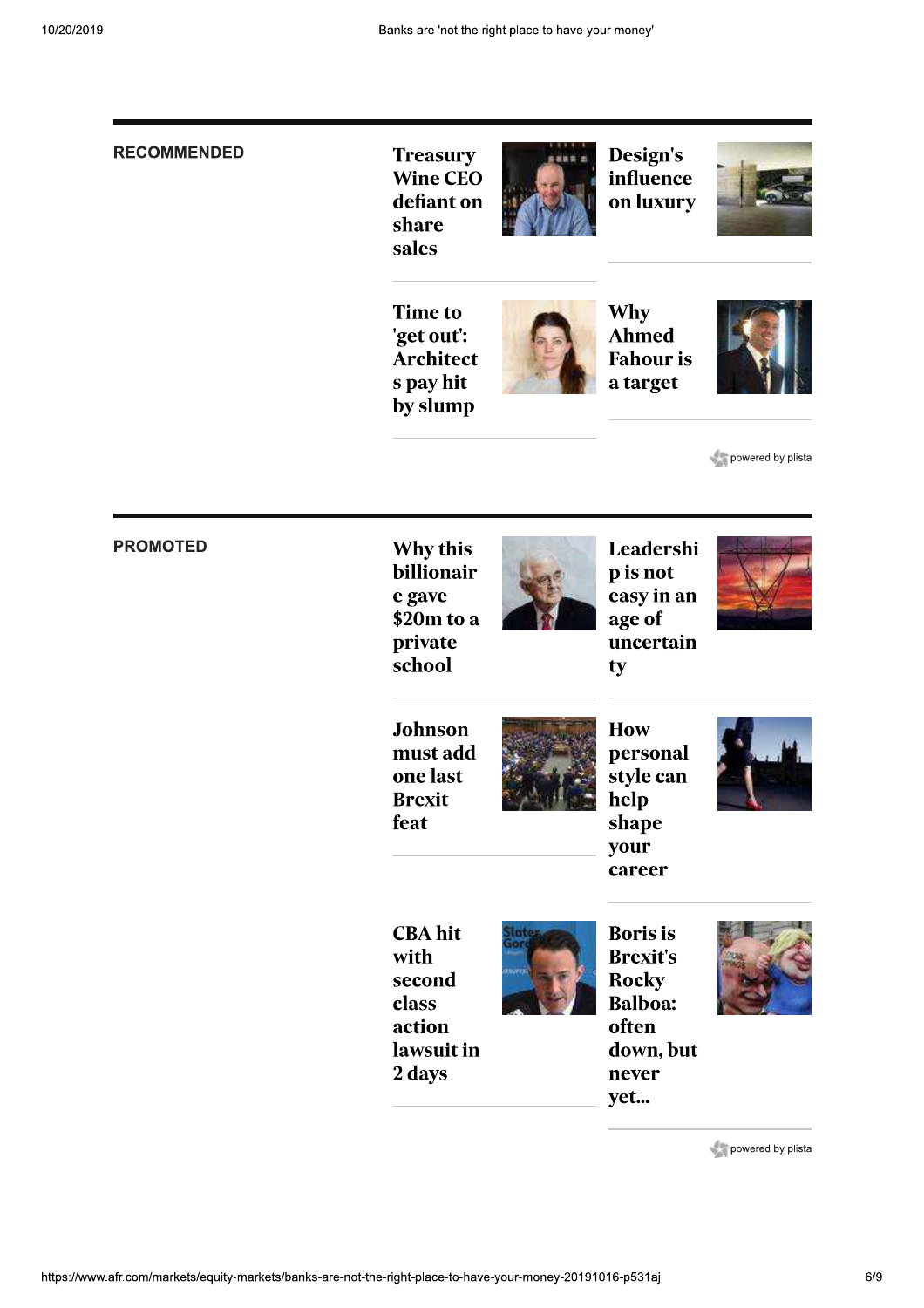#### **RECOMMENDED**

**Treasury Wine CEO** defiant on share sales



Design's influence on luxury



**Time to** 'get out': Architect s pay hit by slump



Why Ahmed **Fahour** is a target



powered by plista

#### **PROMOTED**

Why this billionair e gave \$20m to a private school



Leadershi p is not easy in an age of uncertain ty



Johnson must add one last **Brexit** feat



How personal style can help shape your career



**CBA** hit with second class action lawsuit in 2 days



**Boris** is **Brexit's Rocky Balboa:** often down, but never yet...



powered by plista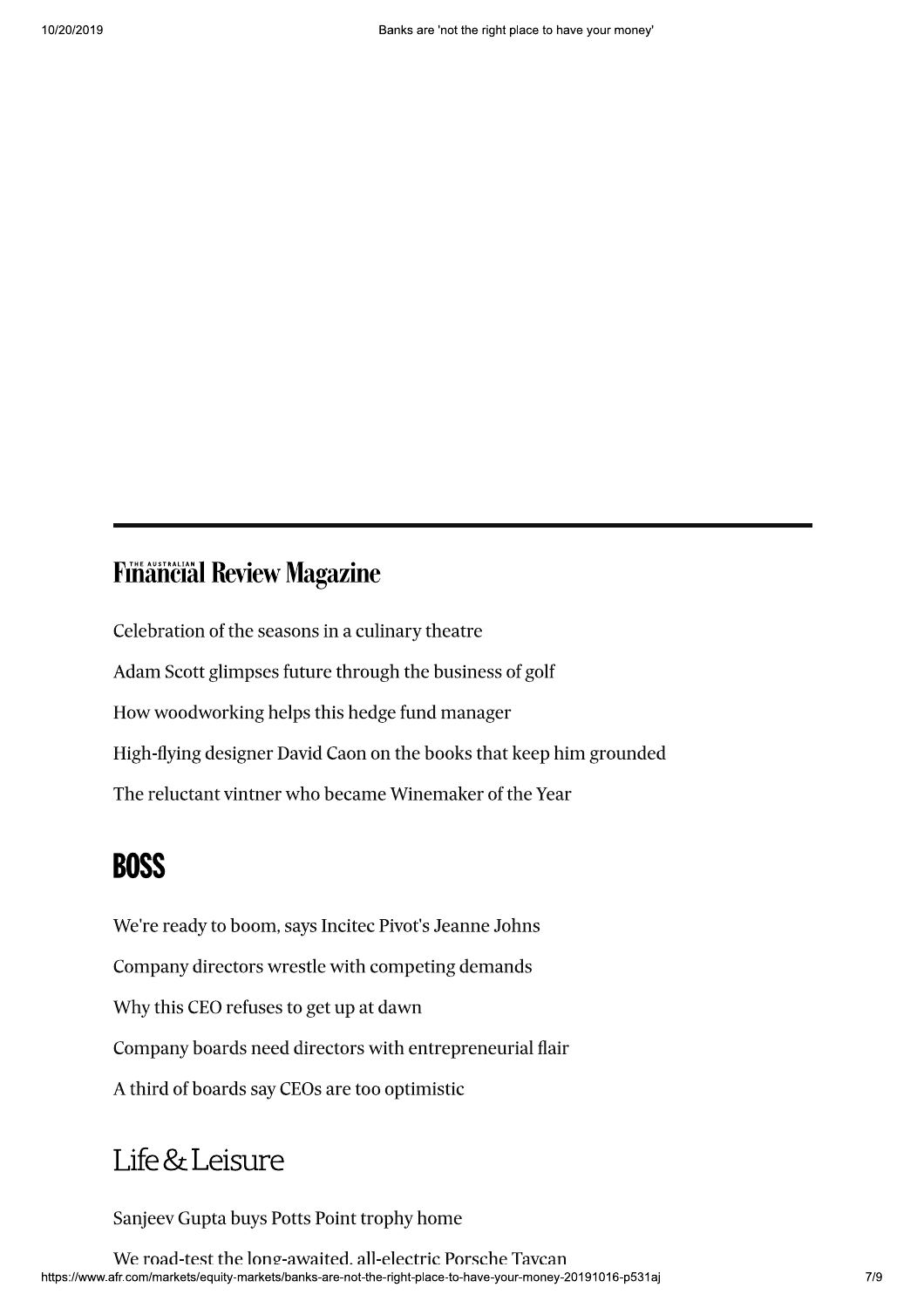## **Finâncial Review Magazine**

Celebration of the seasons in a culinary theatre Adam Scott glimpses future through the business of golf How woodworking helps this hedge fund manager High-flying designer David Caon on the books that keep him grounded The reluctant vintner who became Winemaker of the Year

## **BOSS**

We're ready to boom, says Incited Pivot's Jeanne Johns Company directors wrestle with competing demands Why this CEO refuses to get up at dawn Company boards need directors with entrepreneurial flair A third of boards say CEOs are too optimistic

## Life & Leisure

Sanjeev Gupta buys Potts Point trophy home